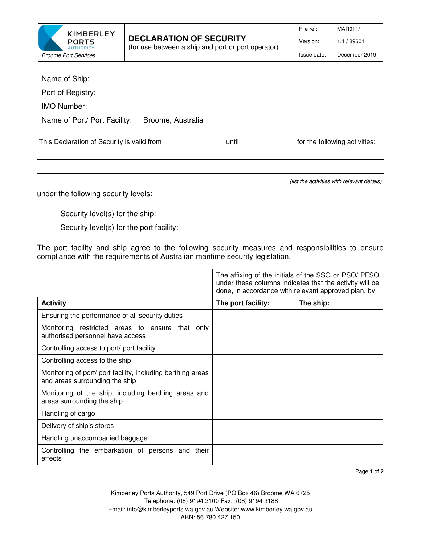| KIMBERLEY<br><b>PORTS</b><br><b>AUTHORITY</b> |
|-----------------------------------------------|
| <b>Broome Port Services</b>                   |

Version: 1.1 / 89601

| Issue date: | December 2019 |
|-------------|---------------|
|             |               |

| Broome, Australia |                                                                                                                                                                   |                                             |
|-------------------|-------------------------------------------------------------------------------------------------------------------------------------------------------------------|---------------------------------------------|
|                   | until                                                                                                                                                             | for the following activities:               |
|                   |                                                                                                                                                                   |                                             |
|                   |                                                                                                                                                                   | (list the activities with relevant details) |
|                   |                                                                                                                                                                   |                                             |
|                   |                                                                                                                                                                   |                                             |
|                   | This Declaration of Security is valid from<br>under the following security levels:<br>Security level(s) for the ship:<br>Security level(s) for the port facility: |                                             |

The port facility and ship agree to the following security measures and responsibilities to ensure compliance with the requirements of Australian maritime security legislation.

|                                                                                               |                    | The affixing of the initials of the SSO or PSO/ PFSO<br>under these columns indicates that the activity will be<br>done, in accordance with relevant approved plan, by |
|-----------------------------------------------------------------------------------------------|--------------------|------------------------------------------------------------------------------------------------------------------------------------------------------------------------|
| <b>Activity</b>                                                                               | The port facility: | The ship:                                                                                                                                                              |
| Ensuring the performance of all security duties                                               |                    |                                                                                                                                                                        |
| Monitoring restricted areas to ensure that only<br>authorised personnel have access           |                    |                                                                                                                                                                        |
| Controlling access to port/ port facility                                                     |                    |                                                                                                                                                                        |
| Controlling access to the ship                                                                |                    |                                                                                                                                                                        |
| Monitoring of port/ port facility, including berthing areas<br>and areas surrounding the ship |                    |                                                                                                                                                                        |
| Monitoring of the ship, including berthing areas and<br>areas surrounding the ship            |                    |                                                                                                                                                                        |
| Handling of cargo                                                                             |                    |                                                                                                                                                                        |
| Delivery of ship's stores                                                                     |                    |                                                                                                                                                                        |
| Handling unaccompanied baggage                                                                |                    |                                                                                                                                                                        |
| Controlling the embarkation of persons and their<br>effects                                   |                    |                                                                                                                                                                        |

Page **1** of **2** 

\_\_\_\_\_\_\_\_\_\_\_\_\_\_\_\_\_\_\_\_\_\_\_\_\_\_\_\_\_\_\_\_\_\_\_\_\_\_\_\_\_\_\_\_\_\_\_\_\_\_\_\_\_\_\_\_\_\_\_\_\_\_\_\_\_\_\_\_\_\_\_\_\_\_\_\_\_\_\_\_\_\_\_\_\_\_\_\_\_\_\_\_\_